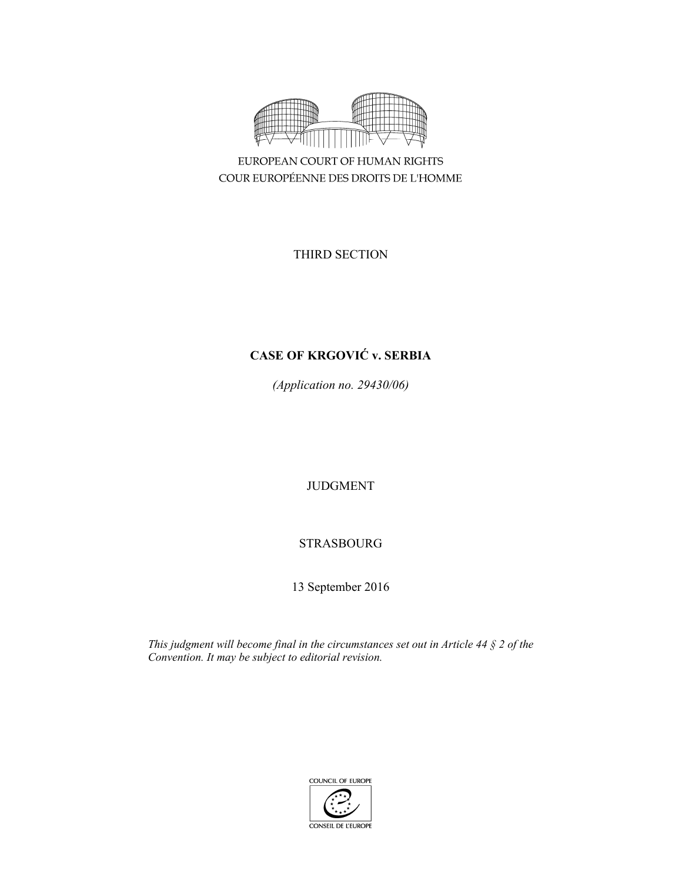

EUROPEAN COURT OF HUMAN RIGHTS COUR EUROPÉENNE DES DROITS DE L'HOMME

THIRD SECTION

# **CASE OF KRGOVIĆ v. SERBIA**

*(Application no. 29430/06)* 

JUDGMENT

STRASBOURG

13 September 2016

*This judgment will become final in the circumstances set out in Article 44 § 2 of the Convention. It may be subject to editorial revision.*

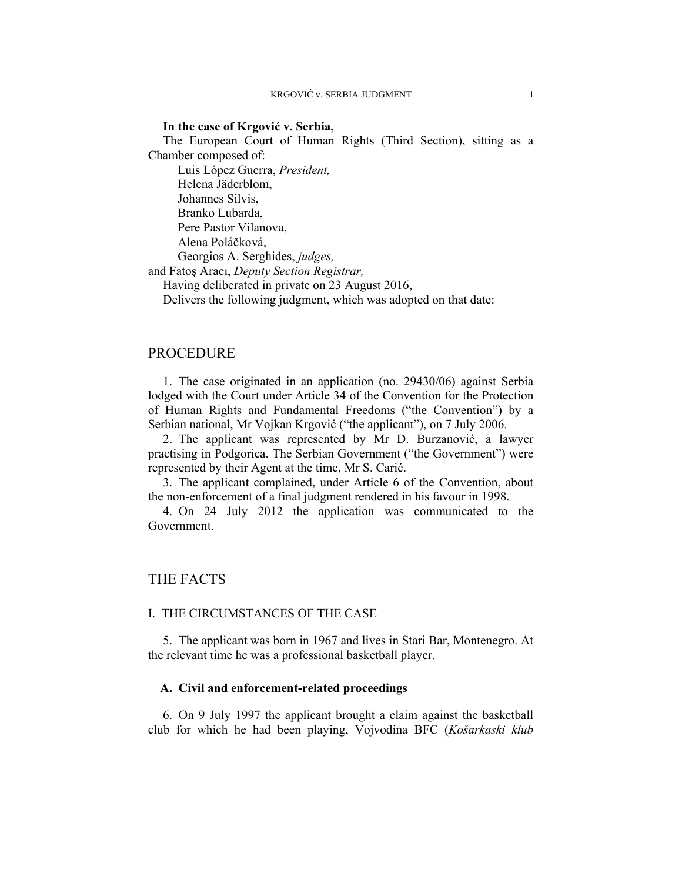#### **In the case of Krgović v. Serbia,**

The European Court of Human Rights (Third Section), sitting as a Chamber composed of:

 Luis López Guerra, *President,*  Helena Jäderblom, Johannes Silvis, Branko Lubarda, Pere Pastor Vilanova, Alena Poláčková, Georgios A. Serghides, *judges,*

and Fatoş Aracı, *Deputy Section Registrar,*

Having deliberated in private on 23 August 2016,

Delivers the following judgment, which was adopted on that date:

### PROCEDURE

1. The case originated in an application (no. 29430/06) against Serbia lodged with the Court under Article 34 of the Convention for the Protection of Human Rights and Fundamental Freedoms ("the Convention") by a Serbian national, Mr Vojkan Krgović ("the applicant"), on 7 July 2006.

2. The applicant was represented by Mr D. Burzanović, a lawyer practising in Podgorica. The Serbian Government ("the Government") were represented by their Agent at the time, Mr S. Carić.

3. The applicant complained, under Article 6 of the Convention, about the non-enforcement of a final judgment rendered in his favour in 1998.

4. On 24 July 2012 the application was communicated to the Government.

# THE FACTS

#### I. THE CIRCUMSTANCES OF THE CASE

5. The applicant was born in 1967 and lives in Stari Bar, Montenegro. At the relevant time he was a professional basketball player.

#### **A. Civil and enforcement-related proceedings**

6. On 9 July 1997 the applicant brought a claim against the basketball club for which he had been playing, Vojvodina BFC (*Košarkaski klub*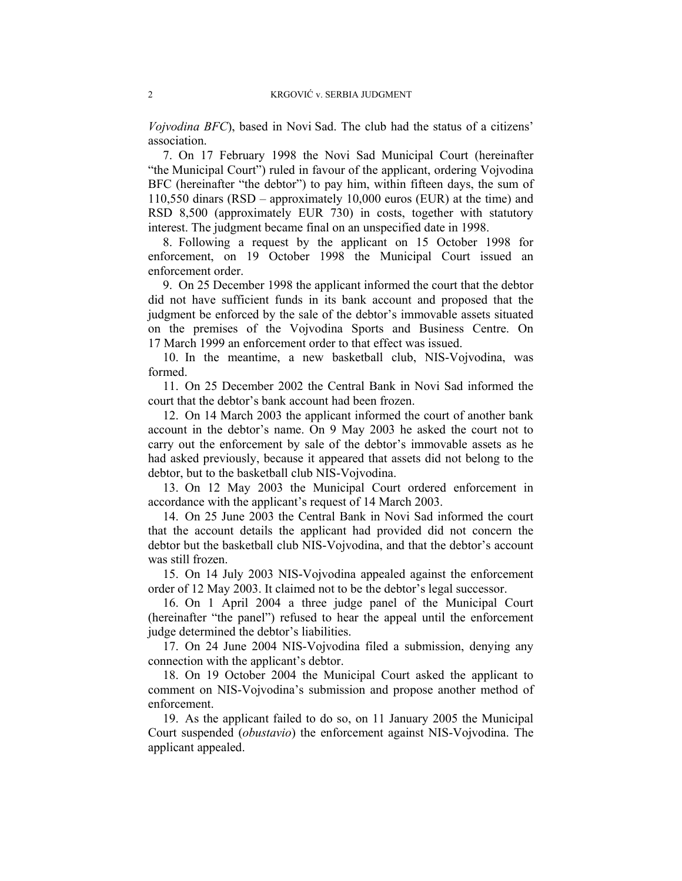*Vojvodina BFC*), based in Novi Sad. The club had the status of a citizens' association.

7. On 17 February 1998 the Novi Sad Municipal Court (hereinafter "the Municipal Court") ruled in favour of the applicant, ordering Vojvodina BFC (hereinafter "the debtor") to pay him, within fifteen days, the sum of 110,550 dinars (RSD – approximately 10,000 euros (EUR) at the time) and RSD 8,500 (approximately EUR 730) in costs, together with statutory interest. The judgment became final on an unspecified date in 1998.

8. Following a request by the applicant on 15 October 1998 for enforcement, on 19 October 1998 the Municipal Court issued an enforcement order.

9. On 25 December 1998 the applicant informed the court that the debtor did not have sufficient funds in its bank account and proposed that the judgment be enforced by the sale of the debtor's immovable assets situated on the premises of the Vojvodina Sports and Business Centre. On 17 March 1999 an enforcement order to that effect was issued.

10. In the meantime, a new basketball club, NIS-Vojvodina, was formed.

11. On 25 December 2002 the Central Bank in Novi Sad informed the court that the debtor's bank account had been frozen.

12. On 14 March 2003 the applicant informed the court of another bank account in the debtor's name. On 9 May 2003 he asked the court not to carry out the enforcement by sale of the debtor's immovable assets as he had asked previously, because it appeared that assets did not belong to the debtor, but to the basketball club NIS-Vojvodina.

13. On 12 May 2003 the Municipal Court ordered enforcement in accordance with the applicant's request of 14 March 2003.

14. On 25 June 2003 the Central Bank in Novi Sad informed the court that the account details the applicant had provided did not concern the debtor but the basketball club NIS-Vojvodina, and that the debtor's account was still frozen.

15. On 14 July 2003 NIS-Vojvodina appealed against the enforcement order of 12 May 2003. It claimed not to be the debtor's legal successor.

16. On 1 April 2004 a three judge panel of the Municipal Court (hereinafter "the panel") refused to hear the appeal until the enforcement judge determined the debtor's liabilities.

17. On 24 June 2004 NIS-Vojvodina filed a submission, denying any connection with the applicant's debtor.

18. On 19 October 2004 the Municipal Court asked the applicant to comment on NIS-Vojvodina's submission and propose another method of enforcement.

19. As the applicant failed to do so, on 11 January 2005 the Municipal Court suspended (*obustavio*) the enforcement against NIS-Vojvodina. The applicant appealed.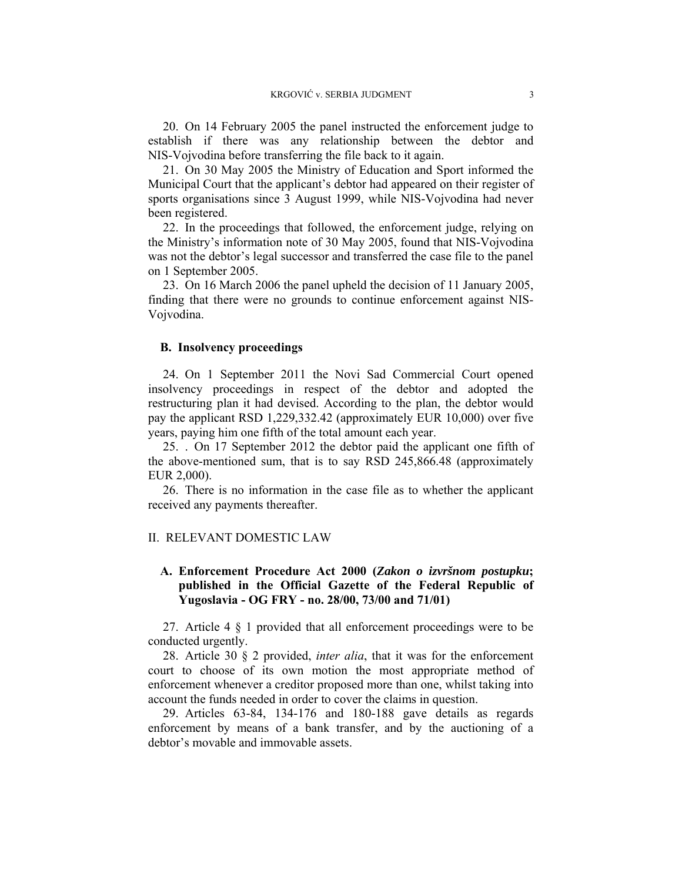20. On 14 February 2005 the panel instructed the enforcement judge to establish if there was any relationship between the debtor and NIS-Vojvodina before transferring the file back to it again.

21. On 30 May 2005 the Ministry of Education and Sport informed the Municipal Court that the applicant's debtor had appeared on their register of sports organisations since 3 August 1999, while NIS-Vojvodina had never been registered.

22. In the proceedings that followed, the enforcement judge, relying on the Ministry's information note of 30 May 2005, found that NIS-Vojvodina was not the debtor's legal successor and transferred the case file to the panel on 1 September 2005.

23. On 16 March 2006 the panel upheld the decision of 11 January 2005, finding that there were no grounds to continue enforcement against NIS-Vojvodina.

# **B. Insolvency proceedings**

24. On 1 September 2011 the Novi Sad Commercial Court opened insolvency proceedings in respect of the debtor and adopted the restructuring plan it had devised. According to the plan, the debtor would pay the applicant RSD 1,229,332.42 (approximately EUR 10,000) over five years, paying him one fifth of the total amount each year.

25. . On 17 September 2012 the debtor paid the applicant one fifth of the above-mentioned sum, that is to say RSD 245,866.48 (approximately EUR 2,000).

26. There is no information in the case file as to whether the applicant received any payments thereafter.

# II. RELEVANT DOMESTIC LAW

# **A. Enforcement Procedure Act 2000 (***Zakon o izvršnom postupku***; published in the Official Gazette of the Federal Republic of Yugoslavia - OG FRY - no. 28/00, 73/00 and 71/01)**

27. Article 4 § 1 provided that all enforcement proceedings were to be conducted urgently.

28. Article 30 § 2 provided, *inter alia*, that it was for the enforcement court to choose of its own motion the most appropriate method of enforcement whenever a creditor proposed more than one, whilst taking into account the funds needed in order to cover the claims in question.

29. Articles 63-84, 134-176 and 180-188 gave details as regards enforcement by means of a bank transfer, and by the auctioning of a debtor's movable and immovable assets.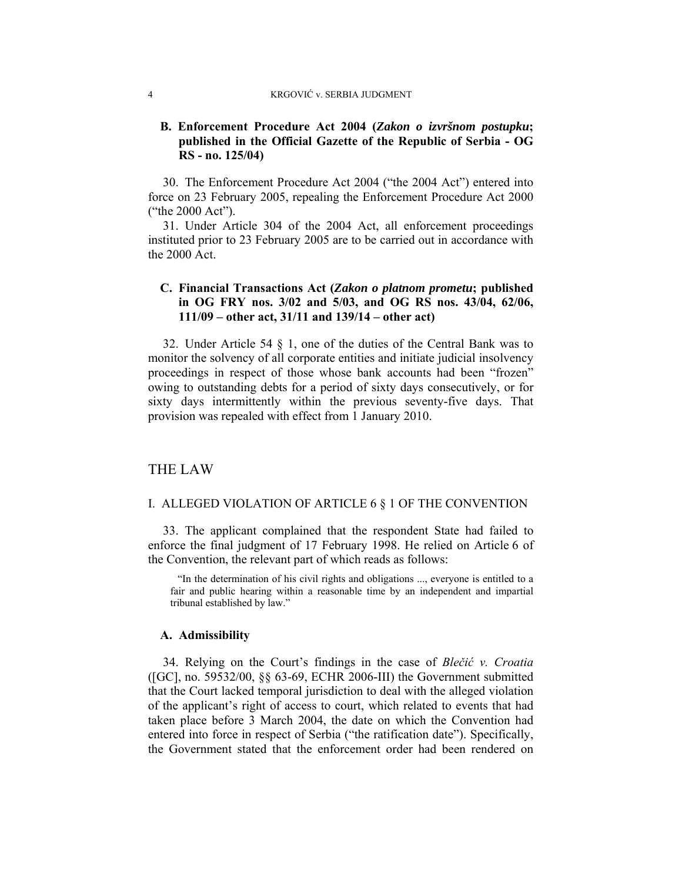# **B. Enforcement Procedure Act 2004 (***Zakon o izvršnom postupku***; published in the Official Gazette of the Republic of Serbia - OG RS - no. 125/04)**

30. The Enforcement Procedure Act 2004 ("the 2004 Act") entered into force on 23 February 2005, repealing the Enforcement Procedure Act 2000 ("the 2000 Act").

31. Under Article 304 of the 2004 Act, all enforcement proceedings instituted prior to 23 February 2005 are to be carried out in accordance with the 2000 Act.

# **C. Financial Transactions Act (***Zakon o platnom prometu***; published in OG FRY nos. 3/02 and 5/03, and OG RS nos. 43/04, 62/06, 111/09 – other act, 31/11 and 139/14 – other act)**

32. Under Article 54 § 1, one of the duties of the Central Bank was to monitor the solvency of all corporate entities and initiate judicial insolvency proceedings in respect of those whose bank accounts had been "frozen" owing to outstanding debts for a period of sixty days consecutively, or for sixty days intermittently within the previous seventy-five days. That provision was repealed with effect from 1 January 2010.

# THE LAW

#### I. ALLEGED VIOLATION OF ARTICLE 6 § 1 OF THE CONVENTION

33. The applicant complained that the respondent State had failed to enforce the final judgment of 17 February 1998. He relied on Article 6 of the Convention, the relevant part of which reads as follows:

"In the determination of his civil rights and obligations ..., everyone is entitled to a fair and public hearing within a reasonable time by an independent and impartial tribunal established by law."

#### **A. Admissibility**

34. Relying on the Court's findings in the case of *Blečić v. Croatia* ([GC], no. 59532/00, §§ 63-69, ECHR 2006-III) the Government submitted that the Court lacked temporal jurisdiction to deal with the alleged violation of the applicant's right of access to court, which related to events that had taken place before 3 March 2004, the date on which the Convention had entered into force in respect of Serbia ("the ratification date"). Specifically, the Government stated that the enforcement order had been rendered on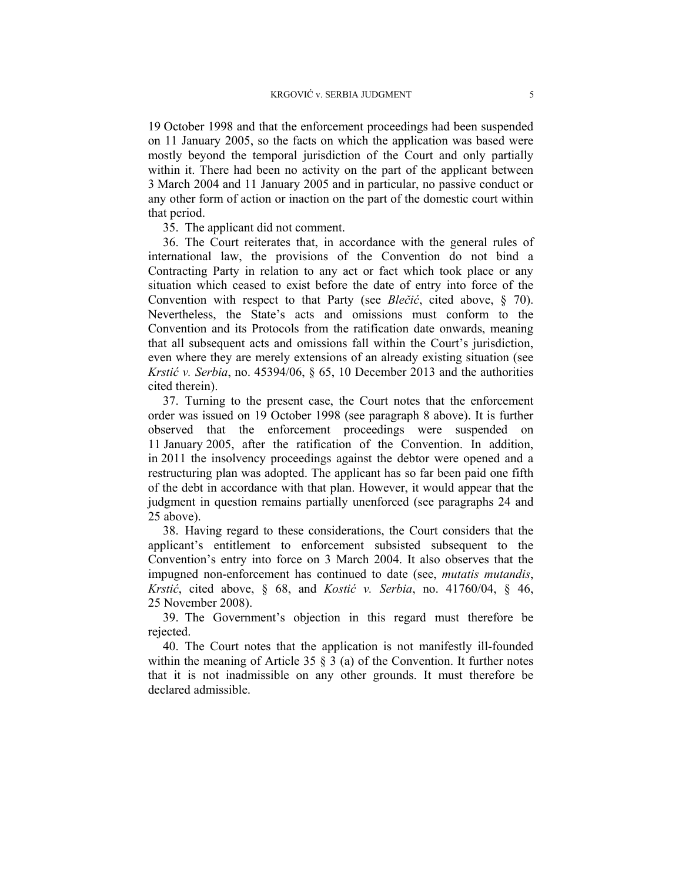19 October 1998 and that the enforcement proceedings had been suspended on 11 January 2005, so the facts on which the application was based were mostly beyond the temporal jurisdiction of the Court and only partially within it. There had been no activity on the part of the applicant between 3 March 2004 and 11 January 2005 and in particular, no passive conduct or any other form of action or inaction on the part of the domestic court within that period.

35. The applicant did not comment.

36. The Court reiterates that, in accordance with the general rules of international law, the provisions of the Convention do not bind a Contracting Party in relation to any act or fact which took place or any situation which ceased to exist before the date of entry into force of the Convention with respect to that Party (see *Blečić*, cited above, § 70). Nevertheless, the State's acts and omissions must conform to the Convention and its Protocols from the ratification date onwards, meaning that all subsequent acts and omissions fall within the Court's jurisdiction, even where they are merely extensions of an already existing situation (see *Krstić v. Serbia*, no. 45394/06, § 65, 10 December 2013 and the authorities cited therein).

37. Turning to the present case, the Court notes that the enforcement order was issued on 19 October 1998 (see paragraph 8 above). It is further observed that the enforcement proceedings were suspended on 11 January 2005, after the ratification of the Convention. In addition, in 2011 the insolvency proceedings against the debtor were opened and a restructuring plan was adopted. The applicant has so far been paid one fifth of the debt in accordance with that plan. However, it would appear that the judgment in question remains partially unenforced (see paragraphs 24 and 25 above).

38. Having regard to these considerations, the Court considers that the applicant's entitlement to enforcement subsisted subsequent to the Convention's entry into force on 3 March 2004. It also observes that the impugned non-enforcement has continued to date (see, *mutatis mutandis*, *Krstić*, cited above, § 68, and *Kostić v. Serbia*, no. 41760/04, § 46, 25 November 2008).

39. The Government's objection in this regard must therefore be rejected.

40. The Court notes that the application is not manifestly ill-founded within the meaning of Article 35  $\S$  3 (a) of the Convention. It further notes that it is not inadmissible on any other grounds. It must therefore be declared admissible.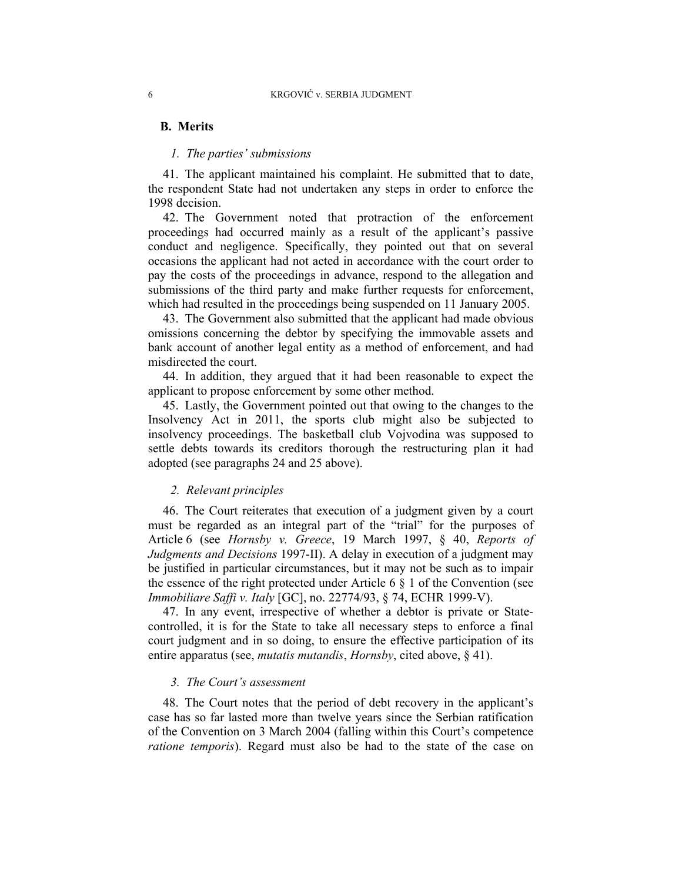#### **B. Merits**

#### *1. The parties' submissions*

41. The applicant maintained his complaint. He submitted that to date, the respondent State had not undertaken any steps in order to enforce the 1998 decision.

42. The Government noted that protraction of the enforcement proceedings had occurred mainly as a result of the applicant's passive conduct and negligence. Specifically, they pointed out that on several occasions the applicant had not acted in accordance with the court order to pay the costs of the proceedings in advance, respond to the allegation and submissions of the third party and make further requests for enforcement, which had resulted in the proceedings being suspended on 11 January 2005.

43. The Government also submitted that the applicant had made obvious omissions concerning the debtor by specifying the immovable assets and bank account of another legal entity as a method of enforcement, and had misdirected the court.

44. In addition, they argued that it had been reasonable to expect the applicant to propose enforcement by some other method.

45. Lastly, the Government pointed out that owing to the changes to the Insolvency Act in 2011, the sports club might also be subjected to insolvency proceedings. The basketball club Vojvodina was supposed to settle debts towards its creditors thorough the restructuring plan it had adopted (see paragraphs 24 and 25 above).

#### *2. Relevant principles*

46. The Court reiterates that execution of a judgment given by a court must be regarded as an integral part of the "trial" for the purposes of Article 6 (see *Hornsby v. Greece*, 19 March 1997, § 40, *Reports of Judgments and Decisions* 1997-II). A delay in execution of a judgment may be justified in particular circumstances, but it may not be such as to impair the essence of the right protected under Article 6  $\S$  1 of the Convention (see *Immobiliare Saffi v. Italy* [GC], no. 22774/93, § 74, ECHR 1999-V).

47. In any event, irrespective of whether a debtor is private or Statecontrolled, it is for the State to take all necessary steps to enforce a final court judgment and in so doing, to ensure the effective participation of its entire apparatus (see, *mutatis mutandis*, *Hornsby*, cited above, § 41).

#### *3. The Court's assessment*

48. The Court notes that the period of debt recovery in the applicant's case has so far lasted more than twelve years since the Serbian ratification of the Convention on 3 March 2004 (falling within this Court's competence *ratione temporis*). Regard must also be had to the state of the case on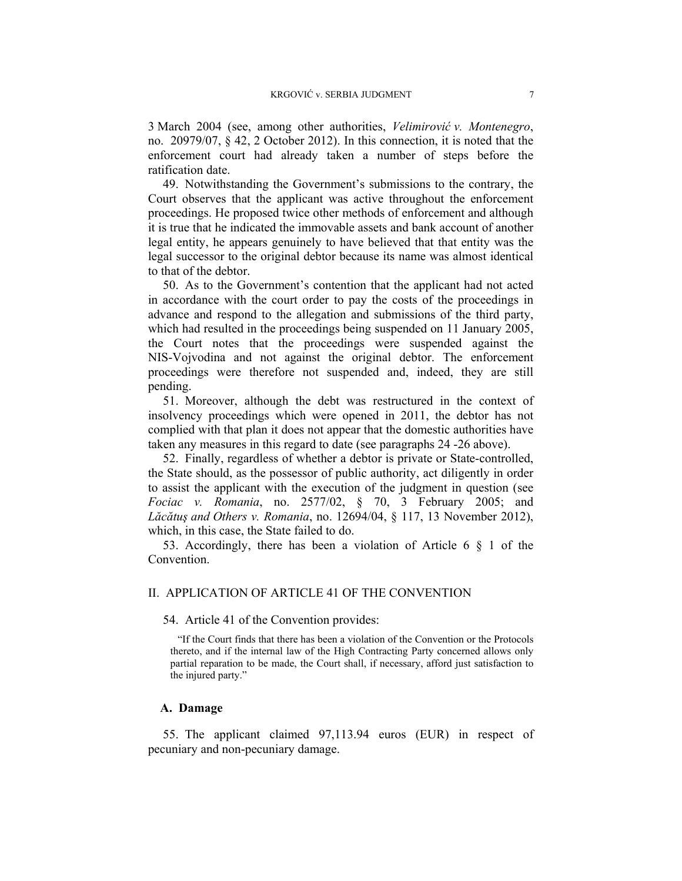3 March 2004 (see, among other authorities, *Velimirović v. Montenegro*, no. 20979/07, § 42, 2 October 2012). In this connection, it is noted that the enforcement court had already taken a number of steps before the ratification date.

49. Notwithstanding the Government's submissions to the contrary, the Court observes that the applicant was active throughout the enforcement proceedings. He proposed twice other methods of enforcement and although it is true that he indicated the immovable assets and bank account of another legal entity, he appears genuinely to have believed that that entity was the legal successor to the original debtor because its name was almost identical to that of the debtor.

50. As to the Government's contention that the applicant had not acted in accordance with the court order to pay the costs of the proceedings in advance and respond to the allegation and submissions of the third party, which had resulted in the proceedings being suspended on 11 January 2005, the Court notes that the proceedings were suspended against the NIS-Vojvodina and not against the original debtor. The enforcement proceedings were therefore not suspended and, indeed, they are still pending.

51. Moreover, although the debt was restructured in the context of insolvency proceedings which were opened in 2011, the debtor has not complied with that plan it does not appear that the domestic authorities have taken any measures in this regard to date (see paragraphs 24 -26 above).

52. Finally, regardless of whether a debtor is private or State-controlled, the State should, as the possessor of public authority, act diligently in order to assist the applicant with the execution of the judgment in question (see *Fociac v. Romania*, no. 2577/02, § 70, 3 February 2005; and *Lăcătuş and Others v. Romania*, no. 12694/04, § 117, 13 November 2012), which, in this case, the State failed to do.

53. Accordingly, there has been a violation of Article 6  $\S$  1 of the Convention.

# II. APPLICATION OF ARTICLE 41 OF THE CONVENTION

#### 54. Article 41 of the Convention provides:

"If the Court finds that there has been a violation of the Convention or the Protocols thereto, and if the internal law of the High Contracting Party concerned allows only partial reparation to be made, the Court shall, if necessary, afford just satisfaction to the injured party."

#### **A. Damage**

55. The applicant claimed 97,113.94 euros (EUR) in respect of pecuniary and non-pecuniary damage.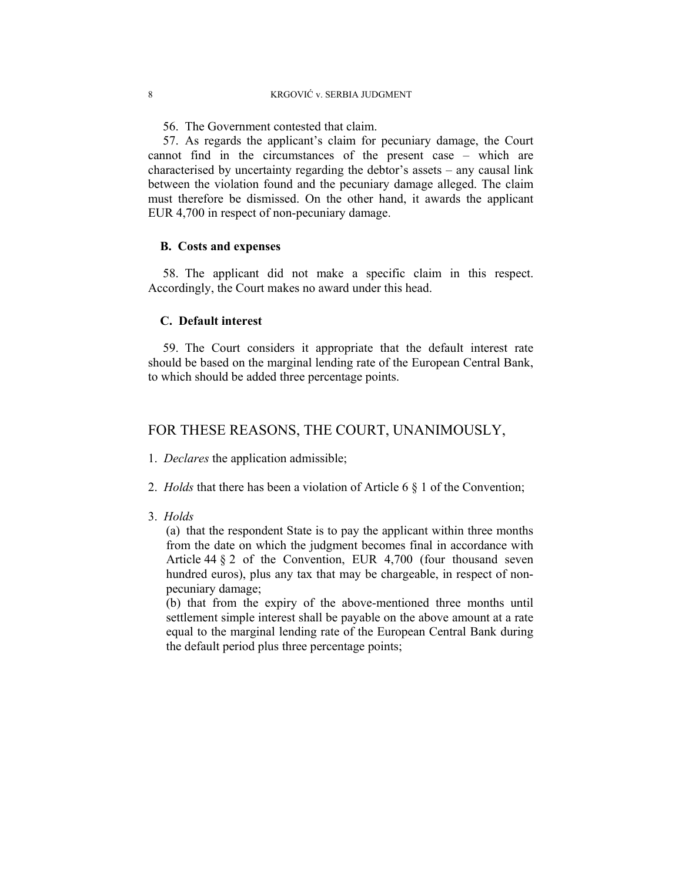56. The Government contested that claim.

57. As regards the applicant's claim for pecuniary damage, the Court cannot find in the circumstances of the present case – which are characterised by uncertainty regarding the debtor's assets – any causal link between the violation found and the pecuniary damage alleged. The claim must therefore be dismissed. On the other hand, it awards the applicant EUR 4,700 in respect of non-pecuniary damage.

#### **B. Costs and expenses**

58. The applicant did not make a specific claim in this respect. Accordingly, the Court makes no award under this head.

# **C. Default interest**

59. The Court considers it appropriate that the default interest rate should be based on the marginal lending rate of the European Central Bank, to which should be added three percentage points.

# FOR THESE REASONS, THE COURT, UNANIMOUSLY,

- 1. *Declares* the application admissible;
- 2. *Holds* that there has been a violation of Article 6 § 1 of the Convention;
- 3. *Holds*

(a) that the respondent State is to pay the applicant within three months from the date on which the judgment becomes final in accordance with Article 44 § 2 of the Convention, EUR 4,700 (four thousand seven hundred euros), plus any tax that may be chargeable, in respect of nonpecuniary damage;

(b) that from the expiry of the above-mentioned three months until settlement simple interest shall be payable on the above amount at a rate equal to the marginal lending rate of the European Central Bank during the default period plus three percentage points;